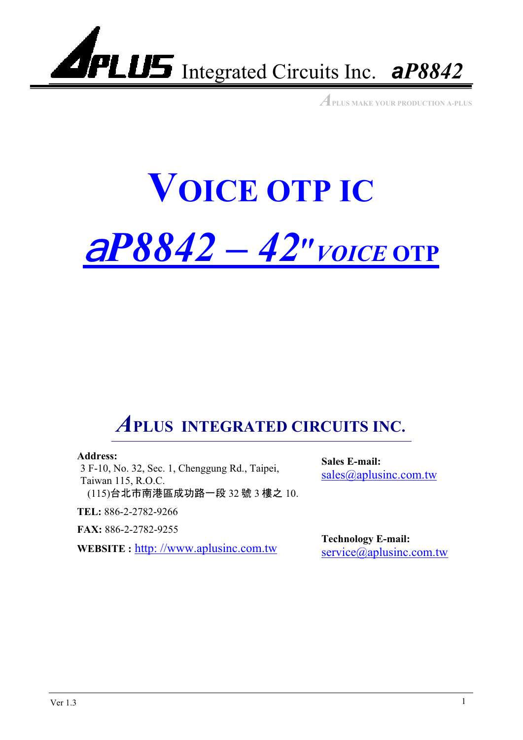

*A***PLUS MAKE YOUR PRODUCTION A-PLUS**

## **VOICE OTP IC** <sup>a</sup>*P8842 – 42*ʿ*VOICE* **OTP**-

### *A***PLUS INTEGRATED CIRCUITS INC.**

#### **Address:**

3 F-10, No. 32, Sec. 1, Chenggung Rd., Taipei, Taiwan 115, R.O.C. (115)台北市南港區成功路一段 32 號 3 樓之 10.

**TEL:** 886-2-2782-9266

**FAX:** 886-2-2782-9255

**WEBSITE :** http://www.aplusinc.com.tw **Technology E-mail:** 

**Sales E-mail:** sales@aplusinc.com.tw

service@aplusinc.com.tw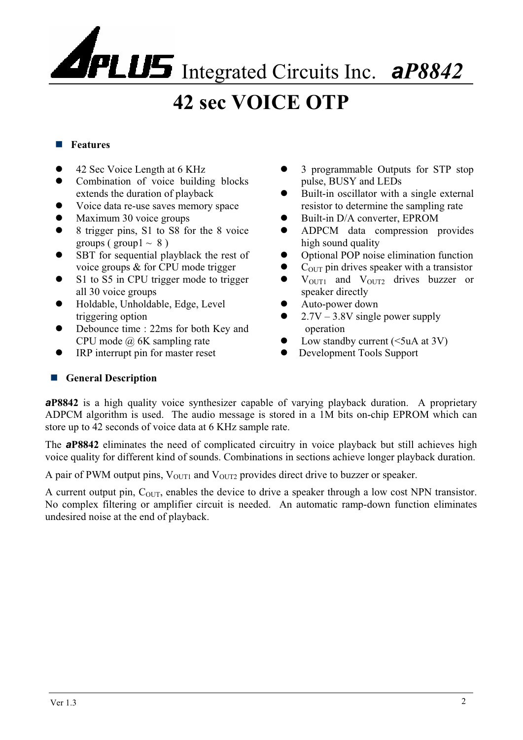### **42 sec VOICE OTP**

#### **Features**

- 42 Sec Voice Length at 6 KHz
- Combination of voice building blocks extends the duration of playback
- Voice data re-use saves memory space
- Maximum 30 voice groups
- 8 trigger pins, S1 to S8 for the 8 voice groups ( group  $1 \sim 8$  )
- SBT for sequential playblack the rest of voice groups & for CPU mode trigger
- S1 to S5 in CPU trigger mode to trigger all 30 voice groups
- Holdable, Unholdable, Edge, Level triggering option
- Debounce time : 22ms for both Key and CPU mode @ 6K sampling rate
- IRP interrupt pin for master reset
- z 3 programmable Outputs for STP stop pulse, BUSY and LEDs
- Built-in oscillator with a single external resistor to determine the sampling rate
- Built-in D/A converter, EPROM
- ADPCM data compression provides high sound quality
- Optional POP noise elimination function
- $\bullet$  C<sub>OUT</sub> pin drives speaker with a transistor
- $\bullet$  V<sub>OUT1</sub> and V<sub>OUT2</sub> drives buzzer or speaker directly
- Auto-power down
- 2.7V 3.8V single power supply operation
- Low standby current  $(*5*uA at 3V)$
- Development Tools Support

#### **General Description**

*a***P8842** is a high quality voice synthesizer capable of varying playback duration. A proprietary ADPCM algorithm is used. The audio message is stored in a 1M bits on-chip EPROM which can store up to 42 seconds of voice data at 6 KHz sample rate.

The *a***P8842** eliminates the need of complicated circuitry in voice playback but still achieves high voice quality for different kind of sounds. Combinations in sections achieve longer playback duration.

A pair of PWM output pins,  $V_{\text{OUT1}}$  and  $V_{\text{OUT2}}$  provides direct drive to buzzer or speaker.

A current output pin,  $C_{\text{OUT}}$ , enables the device to drive a speaker through a low cost NPN transistor. No complex filtering or amplifier circuit is needed. An automatic ramp-down function eliminates undesired noise at the end of playback.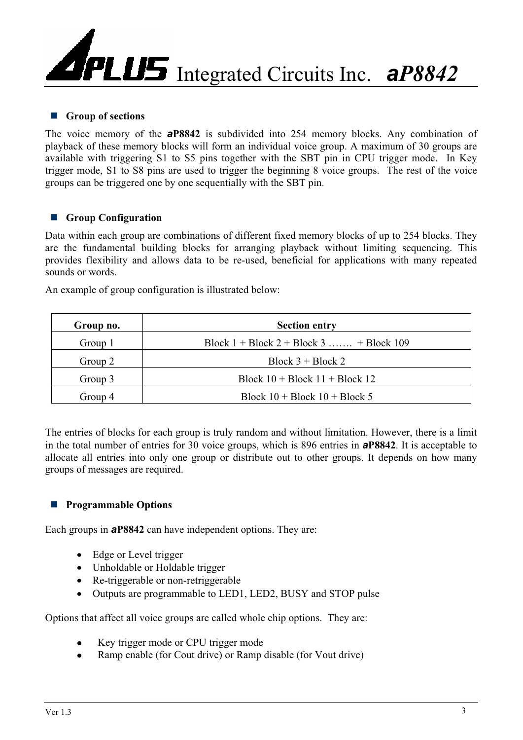#### **Group of sections**

The voice memory of the *a***P8842** is subdivided into 254 memory blocks. Any combination of playback of these memory blocks will form an individual voice group. A maximum of 30 groups are available with triggering S1 to S5 pins together with the SBT pin in CPU trigger mode. In Key trigger mode, S1 to S8 pins are used to trigger the beginning 8 voice groups. The rest of the voice groups can be triggered one by one sequentially with the SBT pin.

#### **Group Configuration**

Data within each group are combinations of different fixed memory blocks of up to 254 blocks. They are the fundamental building blocks for arranging playback without limiting sequencing. This provides flexibility and allows data to be re-used, beneficial for applications with many repeated sounds or words.

An example of group configuration is illustrated below:

| Group no. | <b>Section entry</b>                      |
|-----------|-------------------------------------------|
| Group 1   | Block $1 + Block 2 + Block 3$ + Block 109 |
| Group 2   | Block $3 + Block 2$                       |
| Group 3   | Block $10 + Block 11 + Block 12$          |
| Group 4   | Block $10 + Block 10 + Block 5$           |

The entries of blocks for each group is truly random and without limitation. However, there is a limit in the total number of entries for 30 voice groups, which is 896 entries in *a***P8842**. It is acceptable to allocate all entries into only one group or distribute out to other groups. It depends on how many groups of messages are required.

#### **Programmable Options**

Each groups in *a***P8842** can have independent options. They are:

- $\bullet$  Edge or Level trigger
- Unholdable or Holdable trigger
- $\bullet$  Re-triggerable or non-retriggerable
- Outputs are programmable to LED1, LED2, BUSY and STOP pulse

Options that affect all voice groups are called whole chip options. They are:

- Key trigger mode or CPU trigger mode
- Ramp enable (for Cout drive) or Ramp disable (for Vout drive)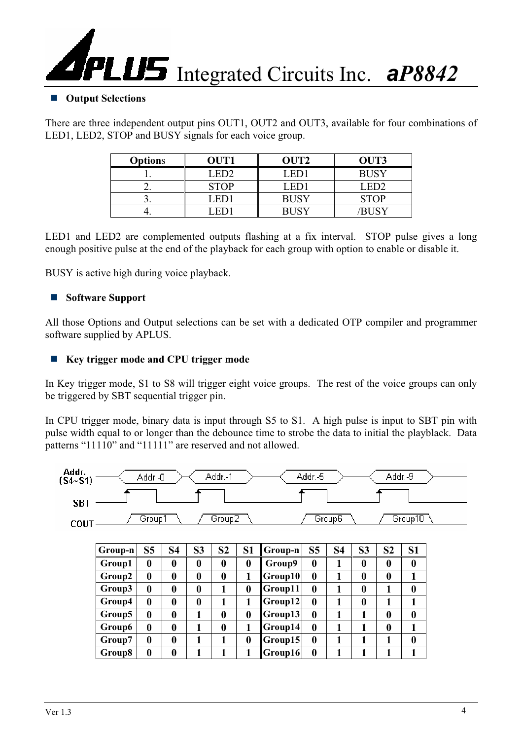

#### **Output Selections**

There are three independent output pins OUT1, OUT2 and OUT3, available for four combinations of LED1, LED2, STOP and BUSY signals for each voice group.

| <b>Options</b> | OUT1        | OUT <sub>2</sub> | OUT3             |
|----------------|-------------|------------------|------------------|
|                | LED2        | LED1             | <b>BUSY</b>      |
|                | <b>STOP</b> | LED1             | LED <sub>2</sub> |
|                | LED1        | <b>BUSY</b>      | <b>STOP</b>      |
|                | . HD .      | <b>BUSY</b>      | /RHSY            |

LED1 and LED2 are complemented outputs flashing at a fix interval. STOP pulse gives a long enough positive pulse at the end of the playback for each group with option to enable or disable it.

BUSY is active high during voice playback.

#### **Software Support**

All those Options and Output selections can be set with a dedicated OTP compiler and programmer software supplied by APLUS.

#### **Key trigger mode and CPU trigger mode**

In Key trigger mode, S1 to S8 will trigger eight voice groups. The rest of the voice groups can only be triggered by SBT sequential trigger pin.

In CPU trigger mode, binary data is input through S5 to S1. A high pulse is input to SBT pin with pulse width equal to or longer than the debounce time to strobe the data to initial the playblack. Data patterns "11110" and "11111" are reserved and not allowed.

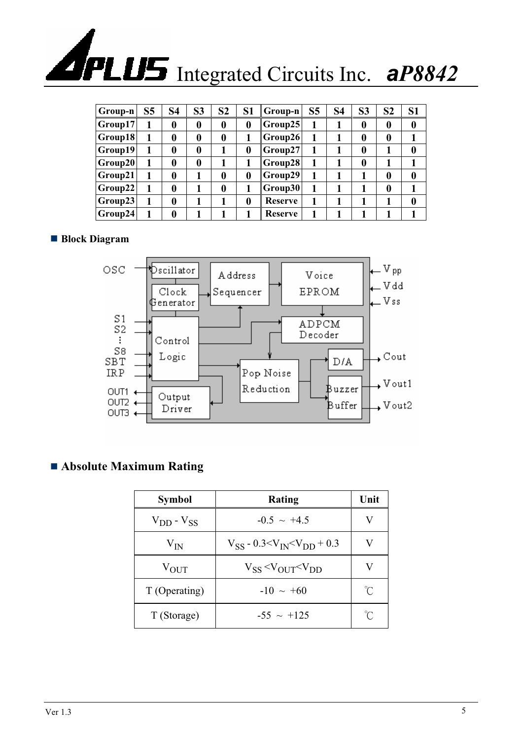| Group-n          | S <sub>5</sub> | S <sub>4</sub>   | S <sub>3</sub>   | S <sub>2</sub>   | S <sub>1</sub> | Group-n        | S <sub>5</sub> | <b>S4</b> | S <sub>3</sub>   | S <sub>2</sub>   | S <sub>1</sub> |
|------------------|----------------|------------------|------------------|------------------|----------------|----------------|----------------|-----------|------------------|------------------|----------------|
| Group17          | 1              | 0                | $\boldsymbol{0}$ | $\bf{0}$         | 0              | Group25        |                |           | $\boldsymbol{0}$ | $\boldsymbol{0}$ | $\bf{0}$       |
| $ $ Group18 $ $  | 1              | $\bf{0}$         | $\boldsymbol{0}$ | $\boldsymbol{0}$ |                | Group26        |                |           | $\boldsymbol{0}$ | 0                |                |
| Group19          | 1              | $\bf{0}$         | $\bf{0}$         |                  | 0              | Group27        |                |           | $\boldsymbol{0}$ |                  | $\bf{0}$       |
| Group20          | 1              | $\bf{0}$         | $\bf{0}$         |                  |                | Group28        |                |           | $\boldsymbol{0}$ |                  |                |
| Group21          | 1              | $\bf{0}$         |                  | $\bf{0}$         | 0              | Group29        |                |           |                  | 0                | $\bf{0}$       |
| $ $ Group 22 $ $ | 1              | $\boldsymbol{0}$ |                  | $\bf{0}$         |                | Group30        |                |           |                  | $\boldsymbol{0}$ |                |
| Group23          | 1              | $\boldsymbol{0}$ |                  |                  | 0              | <b>Reserve</b> | 1              |           |                  |                  | $\bf{0}$       |
| Group24          |                | $\bf{0}$         |                  |                  |                | <b>Reserve</b> |                |           |                  |                  |                |

#### ■ **Block Diagram**



#### **Absolute Maximum Rating**

| <b>Symbol</b>     | Rating                                                  | Unit        |
|-------------------|---------------------------------------------------------|-------------|
| $V_{DD} - V_{SS}$ | $-0.5 \sim +4.5$                                        | V           |
| $V_{IN}$          | $V_{SS}$ - 0.3 <v<sub>IN<v<sub>DD + 0.3</v<sub></v<sub> | V           |
| $V_{\rm OUT}$     | $V_{SS}$ <v<math>_{OUT} <v<math>_{DD}</v<math></v<math> | V           |
| T (Operating)     | $-10 \sim +60$                                          | $^{\circ}C$ |
| T (Storage)       | $-55 \sim +125$                                         | $^{\circ}C$ |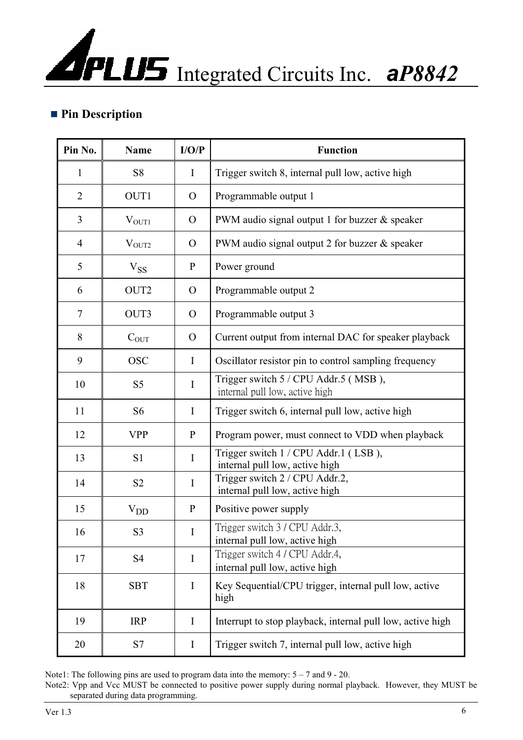#### **Pin Description**

| Pin No.        | <b>Name</b>       | I/O/P          | <b>Function</b>                                                        |
|----------------|-------------------|----------------|------------------------------------------------------------------------|
| $\mathbf{1}$   | S <sub>8</sub>    | $\mathbf I$    | Trigger switch 8, internal pull low, active high                       |
| $\overline{2}$ | OUT1              | $\Omega$       | Programmable output 1                                                  |
| 3              | V <sub>OUT1</sub> | $\Omega$       | PWM audio signal output 1 for buzzer & speaker                         |
| $\overline{4}$ | $V_{OUT2}$        | $\overline{O}$ | PWM audio signal output 2 for buzzer & speaker                         |
| 5              | $V_{SS}$          | $\mathbf{P}$   | Power ground                                                           |
| 6              | OUT <sub>2</sub>  | $\Omega$       | Programmable output 2                                                  |
| 7              | OUT3              | $\Omega$       | Programmable output 3                                                  |
| 8              | $C_{\rm OUT}$     | $\mathbf{O}$   | Current output from internal DAC for speaker playback                  |
| 9              | <b>OSC</b>        | $\bf{I}$       | Oscillator resistor pin to control sampling frequency                  |
| 10             | S <sub>5</sub>    | $\mathbf I$    | Trigger switch 5 / CPU Addr.5 (MSB),<br>internal pull low, active high |
| 11             | S <sub>6</sub>    | I              | Trigger switch 6, internal pull low, active high                       |
| 12             | <b>VPP</b>        | $\mathbf{P}$   | Program power, must connect to VDD when playback                       |
| 13             | S <sub>1</sub>    | I              | Trigger switch 1 / CPU Addr.1 (LSB),<br>internal pull low, active high |
| 14             | S <sub>2</sub>    | $\mathbf I$    | Trigger switch 2 / CPU Addr.2,<br>internal pull low, active high       |
| 15             | $V_{DD}$          | P              | Positive power supply                                                  |
| 16             | S <sub>3</sub>    | $\bf{I}$       | Trigger switch 3 / CPU Addr.3,<br>internal pull low, active high       |
| 17             | S <sub>4</sub>    | $\mathbf I$    | Trigger switch 4 / CPU Addr.4,<br>internal pull low, active high       |
| 18             | <b>SBT</b>        | $\bf{I}$       | Key Sequential/CPU trigger, internal pull low, active<br>high          |
| 19             | <b>IRP</b>        | $\bf{I}$       | Interrupt to stop playback, internal pull low, active high             |
| 20             | S7                | I              | Trigger switch 7, internal pull low, active high                       |

Note1: The following pins are used to program data into the memory:  $5 - 7$  and  $9 - 20$ .

Note2: Vpp and Vcc MUST be connected to positive power supply during normal playback. However, they MUST be separated during data programming.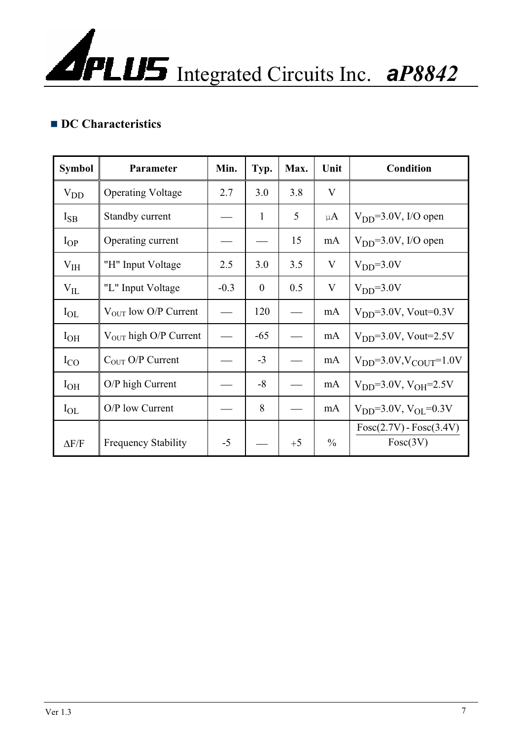#### ■ **DC Characteristics**

| <b>Symbol</b> | Parameter                        | Min.   | Typ.         | Max. | Unit          | <b>Condition</b>                      |
|---------------|----------------------------------|--------|--------------|------|---------------|---------------------------------------|
| $V_{DD}$      | <b>Operating Voltage</b>         | 2.7    | 3.0          | 3.8  | V             |                                       |
| $I_{SB}$      | Standby current                  |        | 1            | 5    | $\mu A$       | $V_{DD} = 3.0 V$ , I/O open           |
| $I_{OP}$      | Operating current                |        |              | 15   | mA            | $VDD=3.0V, I/O$ open                  |
| $\rm V_{IH}$  | "H" Input Voltage                | 2.5    | 3.0          | 3.5  | V             | $VDD=3.0V$                            |
| $\rm V_{IL}$  | "L" Input Voltage                | $-0.3$ | $\mathbf{0}$ | 0.5  | V             | $VDD=3.0V$                            |
| $I_{OL}$      | V <sub>OUT</sub> low O/P Current |        | 120          |      | mA            | $VDD=3.0V$ , Vout=0.3V                |
| $I_{OH}$      | $V_{OUT}$ high O/P Current       |        | $-65$        |      | mA            | $VDD=3.0V$ , Vout=2.5V                |
| $I_{CO}$      | $C_{OUT}$ O/P Current            |        | $-3$         |      | mA            | $V_{DD} = 3.0 V, V_{COUT} = 1.0 V$    |
| $I_{OH}$      | O/P high Current                 |        | $-8$         |      | mA            | $V_{DD} = 3.0 V, V_{OH} = 2.5 V$      |
| $I_{OL}$      | O/P low Current                  |        | 8            |      | mA            | $V_{DD} = 3.0 V, V_{OL} = 0.3 V$      |
| $\Delta F/F$  | <b>Frequency Stability</b>       | $-5$   |              | $+5$ | $\frac{0}{0}$ | $Fosc(2.7V) - Fosc(3.4V)$<br>Fosc(3V) |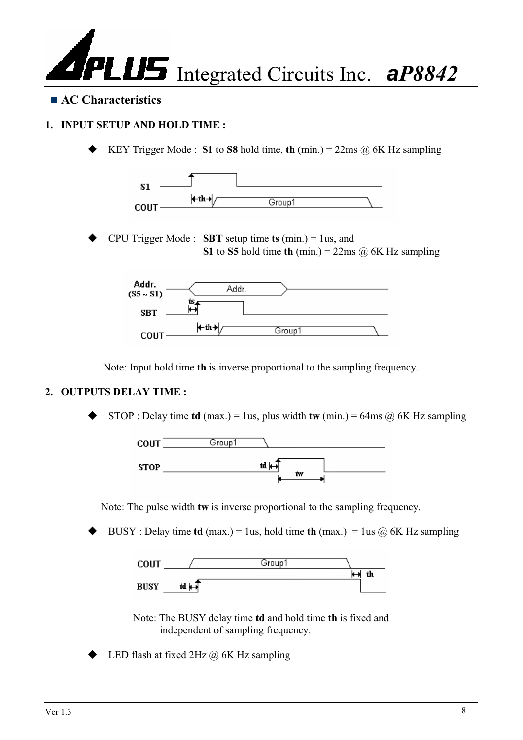

#### ■ **AC Characteristics**

#### **1. INPUT SETUP AND HOLD TIME :**

KEY Trigger Mode : **S1** to **S8** hold time, **th** (min.) =  $22\text{ms}$  ( $\hat{\omega}$ ) 6K Hz sampling



 CPU Trigger Mode : **SBT** setup time **ts** (min.) = 1us, and **S1** to **S5** hold time **th** (min.) = 22ms  $\omega$  6K Hz sampling



Note: Input hold time **th** is inverse proportional to the sampling frequency.

#### **2. OUTPUTS DELAY TIME :**

STOP : Delay time **td** (max.) = 1us, plus width **tw** (min.) = 64ms  $\omega$  6K Hz sampling



Note: The pulse width **tw** is inverse proportional to the sampling frequency.

BUSY : Delay time **td** (max.) = 1us, hold time **th** (max.) = 1us  $\omega$  6K Hz sampling



Note: The BUSY delay time **td** and hold time **th** is fixed and independent of sampling frequency.

LED flash at fixed  $2Hz$   $@$  6K Hz sampling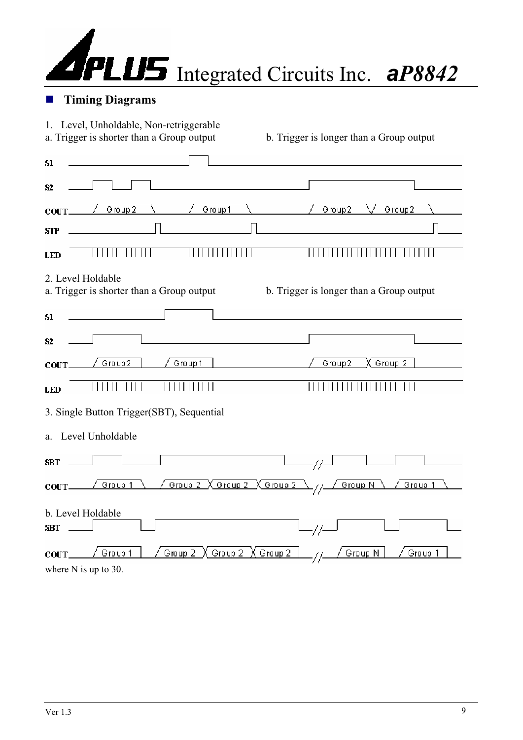

#### **Timing Diagrams**

| 1. Level, Unholdable, Non-retriggerable<br>a. Trigger is shorter than a Group output | b. Trigger is longer than a Group output |
|--------------------------------------------------------------------------------------|------------------------------------------|
| Sl                                                                                   |                                          |
| 52                                                                                   |                                          |
| Group 2<br>Group1<br>COUT.                                                           | Group2<br>Group2                         |
| STP                                                                                  |                                          |
| <b>LED</b>                                                                           |                                          |
| 2. Level Holdable<br>a. Trigger is shorter than a Group output                       | b. Trigger is longer than a Group output |
| Sl                                                                                   |                                          |
| S2                                                                                   |                                          |
| Group2<br>Group 1<br>COUT.                                                           | Group <sub>2</sub><br>Group2             |
| <b>LED</b>                                                                           |                                          |
| 3. Single Button Trigger(SBT), Sequential                                            |                                          |
| a. Level Unholdable                                                                  |                                          |
| SBT                                                                                  |                                          |
| $Group 2 \ X group 2$<br>Group 1<br>COUT.                                            | <u> X Group 2</u><br>Group 1<br>Group N  |
| b. Level Holdable<br><b>SBT</b>                                                      |                                          |
| Group 2<br>Group 1<br>Group 2<br>COUT<br>where $N$ is up to 30.                      | Group 2<br>Group <sub>N</sub><br>Group 1 |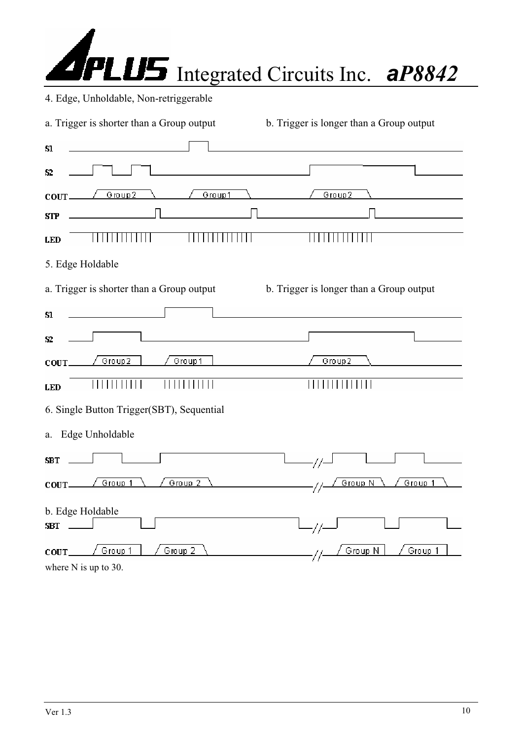| <b>APLUS</b> Integrated Circuits Inc. aP8842 |  |
|----------------------------------------------|--|

|  |  |  | 4. Edge, Unholdable, Non-retriggerable |  |
|--|--|--|----------------------------------------|--|
|--|--|--|----------------------------------------|--|

| a. Trigger is shorter than a Group output | b. Trigger is longer than a Group output |
|-------------------------------------------|------------------------------------------|
| S1                                        |                                          |
| S2                                        |                                          |
| Group1<br>Group2<br>COUT.                 | Group2                                   |
| <b>STP</b>                                |                                          |
| <b>LED</b>                                |                                          |
| 5. Edge Holdable                          |                                          |
| a. Trigger is shorter than a Group output | b. Trigger is longer than a Group output |
| Sl                                        |                                          |
| S2                                        |                                          |
| Group2<br>Group 1<br>COUT.                | Group2                                   |
| <b>LED</b>                                |                                          |
| 6. Single Button Trigger(SBT), Sequential |                                          |
| a. Edge Unholdable                        |                                          |
| <b>SBT</b>                                | 77                                       |
| Group <sub>2</sub><br>Group 1<br>COUT_    | Group 1<br>Group N                       |
| b. Edge Holdable<br><b>SBT</b>            |                                          |
| Group 1<br>Group <sub>2</sub><br>COUT.    | Group <sub>N</sub><br>Group 1            |
| where $N$ is up to 30.                    |                                          |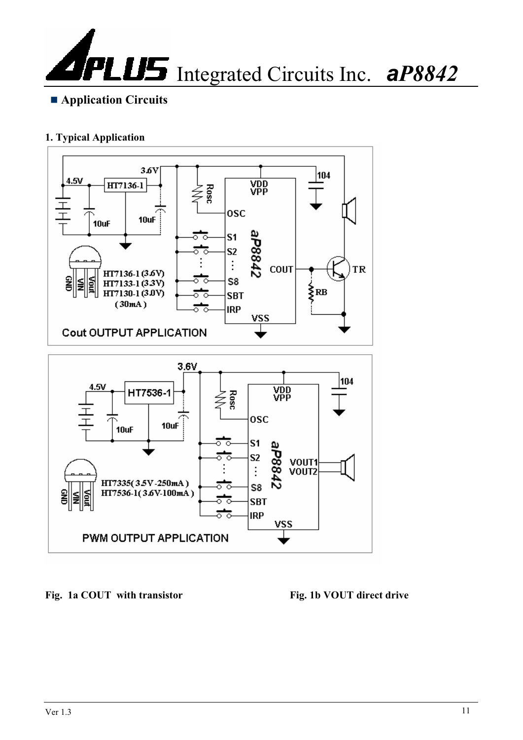

#### **1. Typical Application**



Fig. 1a COUT with transistor Fig. 1b VOUT direct drive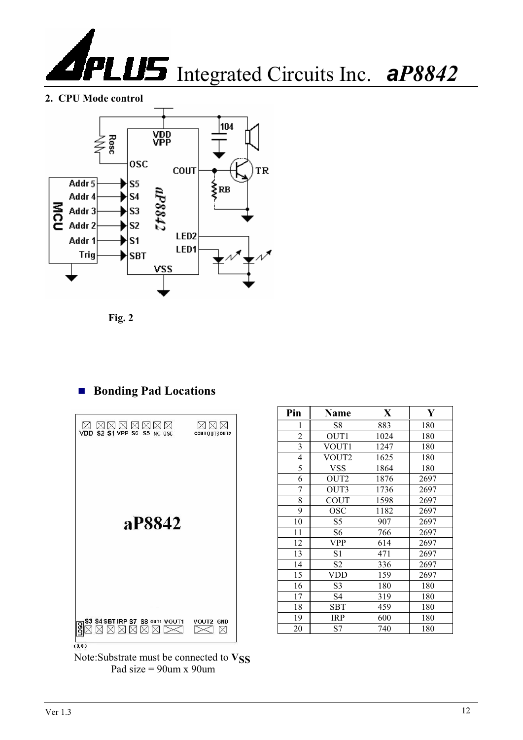

**2. CPU Mode control**



**Fig. 2** 

### ■ Bonding Pad Locations



| Pin            | Name             | $\mathbf X$ | Y    |
|----------------|------------------|-------------|------|
| 1              | S8               | 883         | 180  |
| $\overline{c}$ | OUT1             | 1024        | 180  |
| 3              | VOUT1            | 1247        | 180  |
| $\overline{4}$ | VOUT2            | 1625        | 180  |
| 5              | <b>VSS</b>       | 1864        | 180  |
| 6              | OUT <sub>2</sub> | 1876        | 2697 |
| 7              | OUT3             | 1736        | 2697 |
| 8              | <b>COUT</b>      | 1598        | 2697 |
| 9              | OSC              | 1182        | 2697 |
| 10             | S5               | 907         | 2697 |
| 11             | S <sub>6</sub>   | 766         | 2697 |
| 12             | <b>VPP</b>       | 614         | 2697 |
| 13             | S <sub>1</sub>   | 471         | 2697 |
| 14             | S <sub>2</sub>   | 336         | 2697 |
| 15             | <b>VDD</b>       | 159         | 2697 |
| 16             | S <sub>3</sub>   | 180         | 180  |
| 17             | S4               | 319         | 180  |
| 18             | <b>SBT</b>       | 459         | 180  |
| 19             | <b>IRP</b>       | 600         | 180  |
| 20             | S7               | 740         | 180  |

Note:Substrate must be connected to  $V_{SS}$ Pad size = 90um x 90um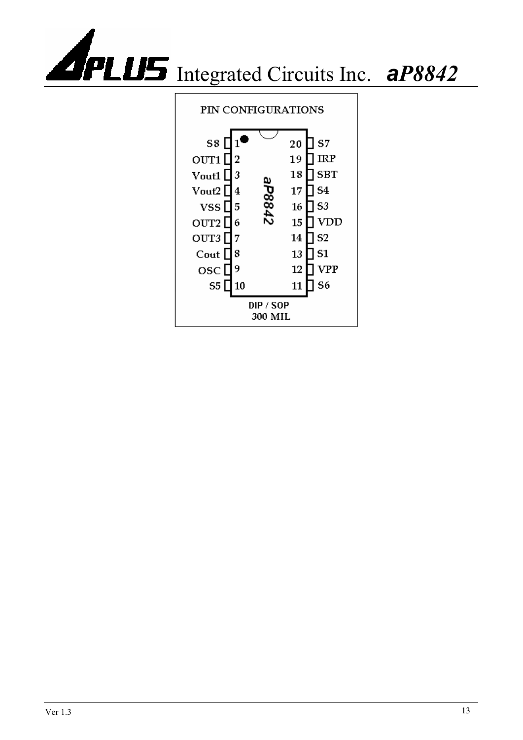

#### PIN CONFIGURATIONS